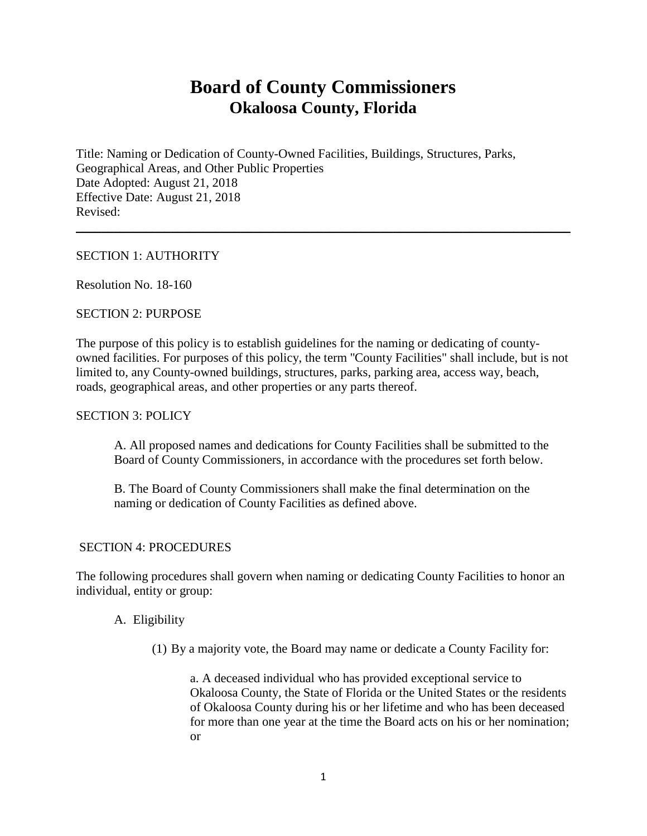# **Board of County Commissioners Okaloosa County, Florida**

\_\_\_\_\_\_\_\_\_\_\_\_\_\_\_\_\_\_\_\_\_\_\_\_\_\_\_\_\_\_\_\_\_\_\_\_\_\_\_\_\_\_\_\_\_\_\_\_\_\_\_\_\_\_\_\_\_\_\_\_\_\_\_\_\_\_\_\_\_\_\_\_\_\_\_\_\_\_

Title: Naming or Dedication of County-Owned Facilities, Buildings, Structures, Parks, Geographical Areas, and Other Public Properties Date Adopted: August 21, 2018 Effective Date: August 21, 2018 Revised:

# SECTION 1: AUTHORITY

Resolution No. 18-160

# SECTION 2: PURPOSE

The purpose of this policy is to establish guidelines for the naming or dedicating of countyowned facilities. For purposes of this policy, the term ''County Facilities" shall include, but is not limited to, any County-owned buildings, structures, parks, parking area, access way, beach, roads, geographical areas, and other properties or any parts thereof.

## SECTION 3: POLICY

A. All proposed names and dedications for County Facilities shall be submitted to the Board of County Commissioners, in accordance with the procedures set forth below.

B. The Board of County Commissioners shall make the final determination on the naming or dedication of County Facilities as defined above.

## SECTION 4: PROCEDURES

The following procedures shall govern when naming or dedicating County Facilities to honor an individual, entity or group:

# A. Eligibility

(1) By a majority vote, the Board may name or dedicate a County Facility for:

a. A deceased individual who has provided exceptional service to Okaloosa County, the State of Florida or the United States or the residents of Okaloosa County during his or her lifetime and who has been deceased for more than one year at the time the Board acts on his or her nomination; or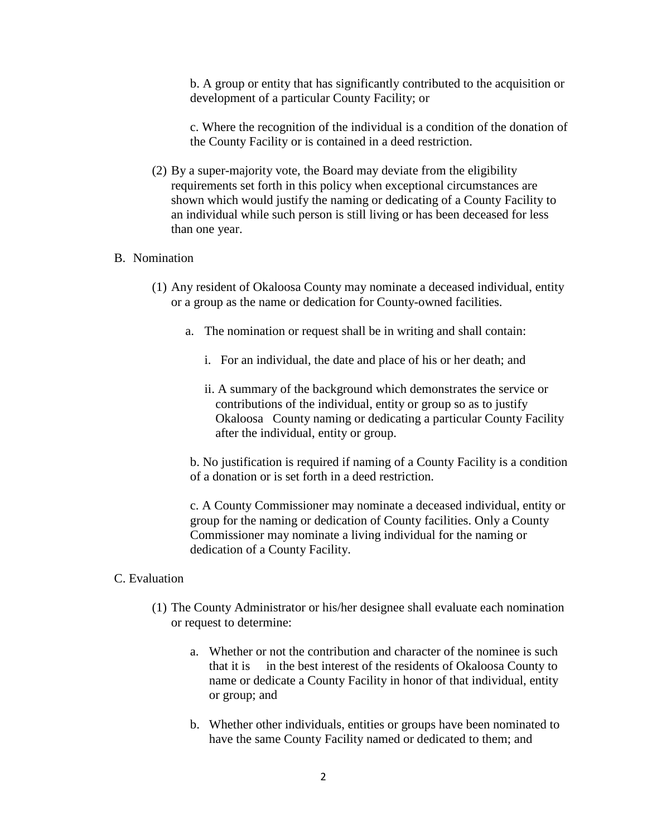b. A group or entity that has significantly contributed to the acquisition or development of a particular County Facility; or

c. Where the recognition of the individual is a condition of the donation of the County Facility or is contained in a deed restriction.

(2) By a super-majority vote, the Board may deviate from the eligibility requirements set forth in this policy when exceptional circumstances are shown which would justify the naming or dedicating of a County Facility to an individual while such person is still living or has been deceased for less than one year.

# B. Nomination

- (1) Any resident of Okaloosa County may nominate a deceased individual, entity or a group as the name or dedication for County-owned facilities.
	- a. The nomination or request shall be in writing and shall contain:
		- i. For an individual, the date and place of his or her death; and
		- ii. A summary of the background which demonstrates the service or contributions of the individual, entity or group so as to justify Okaloosa County naming or dedicating a particular County Facility after the individual, entity or group.

 b. No justification is required if naming of a County Facility is a condition of a donation or is set forth in a deed restriction.

c. A County Commissioner may nominate a deceased individual, entity or group for the naming or dedication of County facilities. Only a County Commissioner may nominate a living individual for the naming or dedication of a County Facility.

#### C. Evaluation

- (1) The County Administrator or his/her designee shall evaluate each nomination or request to determine:
	- a. Whether or not the contribution and character of the nominee is such that it is in the best interest of the residents of Okaloosa County to name or dedicate a County Facility in honor of that individual, entity or group; and
	- b. Whether other individuals, entities or groups have been nominated to have the same County Facility named or dedicated to them; and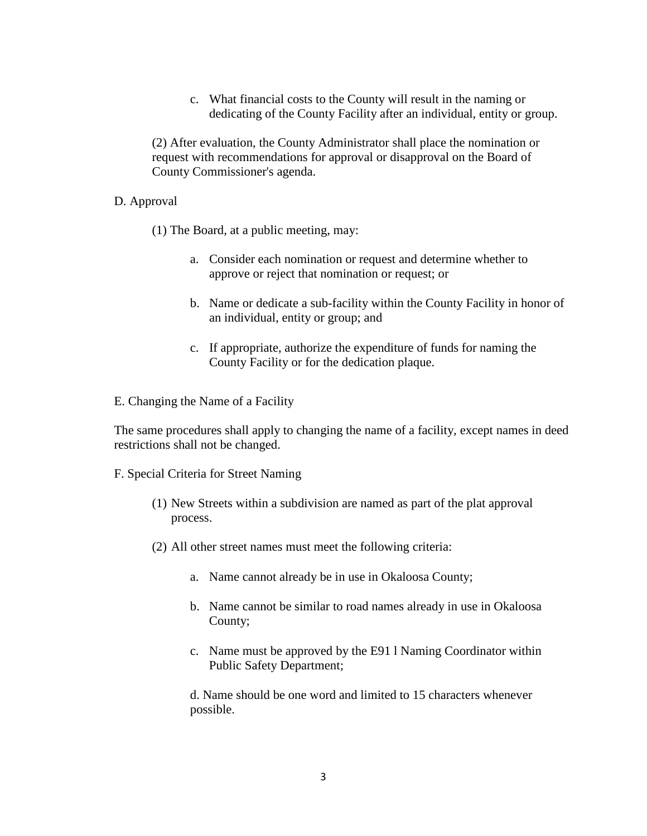c. What financial costs to the County will result in the naming or dedicating of the County Facility after an individual, entity or group.

(2) After evaluation, the County Administrator shall place the nomination or request with recommendations for approval or disapproval on the Board of County Commissioner's agenda.

### D. Approval

- (1) The Board, at a public meeting, may:
	- a. Consider each nomination or request and determine whether to approve or reject that nomination or request; or
	- b. Name or dedicate a sub-facility within the County Facility in honor of an individual, entity or group; and
	- c. If appropriate, authorize the expenditure of funds for naming the County Facility or for the dedication plaque.
- E. Changing the Name of a Facility

The same procedures shall apply to changing the name of a facility, except names in deed restrictions shall not be changed.

#### F. Special Criteria for Street Naming

- (1) New Streets within a subdivision are named as part of the plat approval process.
- (2) All other street names must meet the following criteria:
	- a. Name cannot already be in use in Okaloosa County;
	- b. Name cannot be similar to road names already in use in Okaloosa County;
	- c. Name must be approved by the E91 l Naming Coordinator within Public Safety Department;

d. Name should be one word and limited to 15 characters whenever possible.